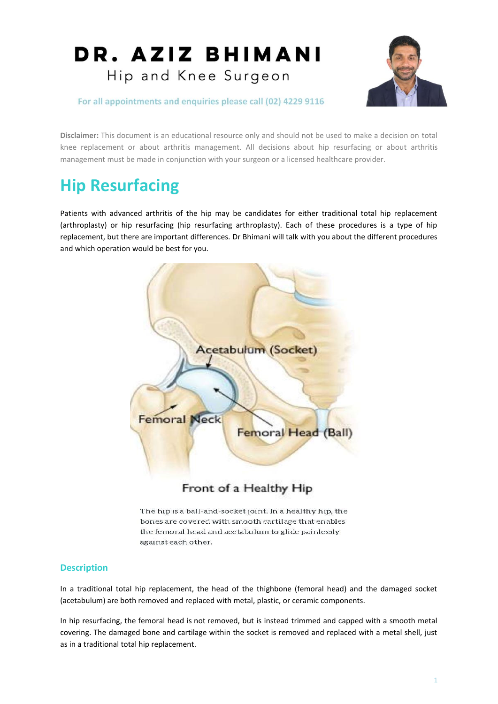

For all appointments and enquiries please call (02) 4229 9116

**Disclaimer:** This document is an educational resource only and should not be used to make a decision on total knee replacement or about arthritis management. All decisions about hip resurfacing or about arthritis management must be made in conjunction with your surgeon or a licensed healthcare provider.

## **Hip Resurfacing**

Patients with advanced arthritis of the hip may be candidates for either traditional total hip replacement (arthroplasty) or hip resurfacing (hip resurfacing arthroplasty). Each of these procedures is a type of hip replacement, but there are important differences. Dr Bhimani will talk with you about the different procedures and which operation would be best for you.



The hip is a ball-and-socket joint. In a healthy hip, the

bones are covered with smooth cartilage that enables the femoral head and acetabulum to glide painlessly against each other.

## **Description**

In a traditional total hip replacement, the head of the thighbone (femoral head) and the damaged socket (acetabulum) are both removed and replaced with metal, plastic, or ceramic components.

In hip resurfacing, the femoral head is not removed, but is instead trimmed and capped with a smooth metal covering. The damaged bone and cartilage within the socket is removed and replaced with a metal shell, just as in a traditional total hip replacement.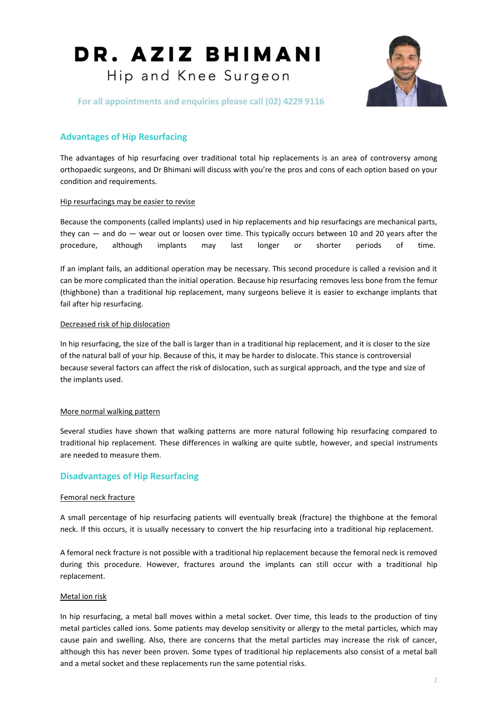

For all appointments and enquiries please call (02) 4229 9116

## **Advantages of Hip Resurfacing**

The advantages of hip resurfacing over traditional total hip replacements is an area of controversy among orthopaedic surgeons, and Dr Bhimani will discuss with you're the pros and cons of each option based on your condition and requirements.

### Hip resurfacings may be easier to revise

Because the components (called implants) used in hip replacements and hip resurfacings are mechanical parts, they can — and do — wear out or loosen over time. This typically occurs between 10 and 20 years after the procedure, although implants may last longer or shorter periods of time.

If an implant fails, an additional operation may be necessary. This second procedure is called a revision and it can be more complicated than the initial operation. Because hip resurfacing removes less bone from the femur (thighbone) than a traditional hip replacement, many surgeons believe it is easier to exchange implants that fail after hip resurfacing.

### Decreased risk of hip dislocation

In hip resurfacing, the size of the ball is larger than in a traditional hip replacement, and it is closer to the size of the natural ball of your hip. Because of this, it may be harder to dislocate. This stance is controversial because several factors can affect the risk of dislocation, such as surgical approach, and the type and size of the implants used.

## More normal walking pattern

Several studies have shown that walking patterns are more natural following hip resurfacing compared to traditional hip replacement. These differences in walking are quite subtle, however, and special instruments are needed to measure them.

## **Disadvantages of Hip Resurfacing**

### Femoral neck fracture

A small percentage of hip resurfacing patients will eventually break (fracture) the thighbone at the femoral neck. If this occurs, it is usually necessary to convert the hip resurfacing into a traditional hip replacement.

A femoral neck fracture is not possible with a traditional hip replacement because the femoral neck is removed during this procedure. However, fractures around the implants can still occur with a traditional hip replacement.

## Metal ion risk

In hip resurfacing, a metal ball moves within a metal socket. Over time, this leads to the production of tiny metal particles called ions. Some patients may develop sensitivity or allergy to the metal particles, which may cause pain and swelling. Also, there are concerns that the metal particles may increase the risk of cancer, although this has never been proven. Some types of traditional hip replacements also consist of a metal ball and a metal socket and these replacements run the same potential risks.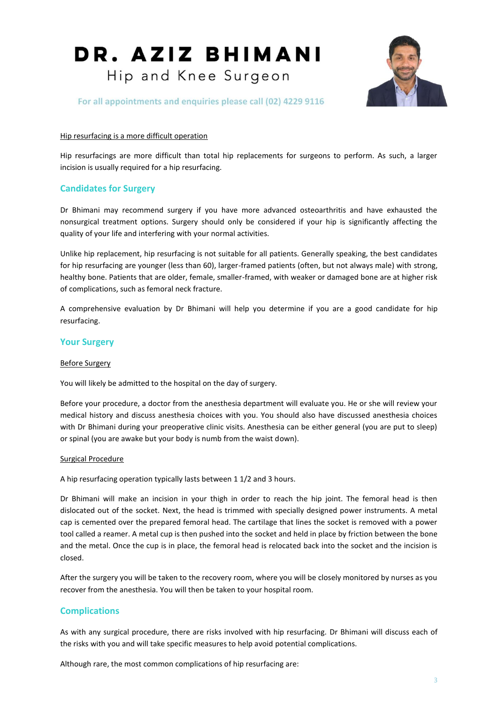

For all appointments and enquiries please call (02) 4229 9116

### Hip resurfacing is a more difficult operation

Hip resurfacings are more difficult than total hip replacements for surgeons to perform. As such, a larger incision is usually required for a hip resurfacing.

## **Candidates for Surgery**

Dr Bhimani may recommend surgery if you have more advanced osteoarthritis and have exhausted the nonsurgical treatment options. Surgery should only be considered if your hip is significantly affecting the quality of your life and interfering with your normal activities.

Unlike hip replacement, hip resurfacing is not suitable for all patients. Generally speaking, the best candidates for hip resurfacing are younger (less than 60), larger-framed patients (often, but not always male) with strong, healthy bone. Patients that are older, female, smaller-framed, with weaker or damaged bone are at higher risk of complications, such as femoral neck fracture.

A comprehensive evaluation by Dr Bhimani will help you determine if you are a good candidate for hip resurfacing.

## **Your Surgery**

#### Before Surgery

You will likely be admitted to the hospital on the day of surgery.

Before your procedure, a doctor from the anesthesia department will evaluate you. He or she will review your medical history and discuss anesthesia choices with you. You should also have discussed anesthesia choices with Dr Bhimani during your preoperative clinic visits. Anesthesia can be either general (you are put to sleep) or spinal (you are awake but your body is numb from the waist down).

#### Surgical Procedure

A hip resurfacing operation typically lasts between 1 1/2 and 3 hours.

Dr Bhimani will make an incision in your thigh in order to reach the hip joint. The femoral head is then dislocated out of the socket. Next, the head is trimmed with specially designed power instruments. A metal cap is cemented over the prepared femoral head. The cartilage that lines the socket is removed with a power tool called a reamer. A metal cup is then pushed into the socket and held in place by friction between the bone and the metal. Once the cup is in place, the femoral head is relocated back into the socket and the incision is closed.

After the surgery you will be taken to the recovery room, where you will be closely monitored by nurses as you recover from the anesthesia. You will then be taken to your hospital room.

## **Complications**

As with any surgical procedure, there are risks involved with hip resurfacing. Dr Bhimani will discuss each of the risks with you and will take specific measures to help avoid potential complications.

Although rare, the most common complications of hip resurfacing are: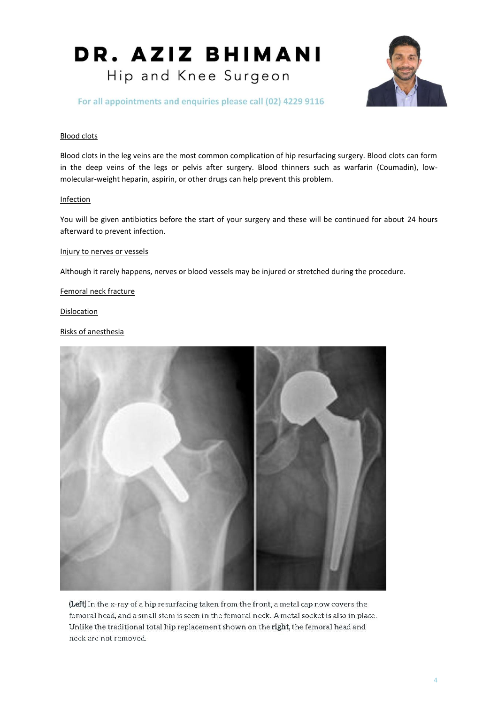

For all appointments and enquiries please call (02) 4229 9116

#### Blood clots

Blood clots in the leg veins are the most common complication of hip resurfacing surgery. Blood clots can form in the deep veins of the legs or pelvis after surgery. Blood thinners such as warfarin (Coumadin), lowmolecular-weight heparin, aspirin, or other drugs can help prevent this problem.

#### Infection

You will be given antibiotics before the start of your surgery and these will be continued for about 24 hours afterward to prevent infection.

### Injury to nerves or vessels

Although it rarely happens, nerves or blood vessels may be injured or stretched during the procedure.

#### Femoral neck fracture

**Dislocation** 

#### Risks of anesthesia



(Left) In the x-ray of a hip resurfacing taken from the front, a metal cap now covers the femoral head, and a small stem is seen in the femoral neck. A metal socket is also in place. Unlike the traditional total hip replacement shown on the right, the femoral head and neck are not removed.